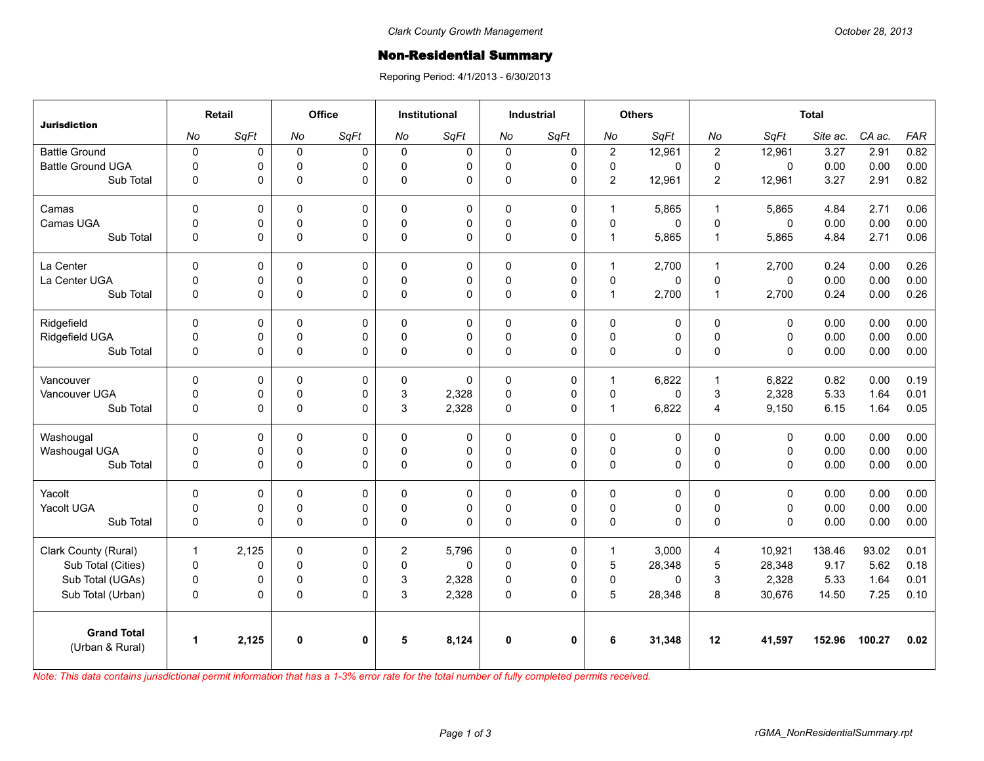## **Non-Residential Summary**

Reporing Period: 4/1/2013 - 6/30/2013

| <b>Jurisdiction</b>      | Retail               |       | Office      |              | <b>Institutional</b> |             | <b>Industrial</b> |              | <b>Others</b>  |        | <b>Total</b>     |              |          |        |            |
|--------------------------|----------------------|-------|-------------|--------------|----------------------|-------------|-------------------|--------------|----------------|--------|------------------|--------------|----------|--------|------------|
|                          | No                   | SqFt  | No          | SqFt         | No                   | SqFt        | No                | SqFt         | No             | SqFt   | No               | SqFt         | Site ac. | CA ac. | <b>FAR</b> |
| <b>Battle Ground</b>     | $\pmb{0}$            | 0     | $\mathbf 0$ | 0            | $\mathbf 0$          | 0           | $\mathbf 0$       | 0            | $\mathbf 2$    | 12,961 | $\boldsymbol{2}$ | 12,961       | 3.27     | 2.91   | 0.82       |
| <b>Battle Ground UGA</b> | $\mathbf 0$          | 0     | $\mathbf 0$ | $\Omega$     | $\Omega$             | 0           | $\mathbf 0$       | $\mathbf 0$  | $\mathbf 0$    | 0      | $\mathbf 0$      | $\mathbf{0}$ | 0.00     | 0.00   | 0.00       |
| Sub Total                | 0                    | 0     | $\mathbf 0$ | $\Omega$     | $\mathbf{0}$         | $\Omega$    | $\pmb{0}$         | 0            | $\overline{2}$ | 12,961 | $\overline{2}$   | 12,961       | 3.27     | 2.91   | 0.82       |
| Camas                    | $\Omega$             | 0     | $\Omega$    | $\Omega$     | $\Omega$             | $\mathbf 0$ | $\Omega$          | $\mathbf 0$  | $\mathbf{1}$   | 5,865  | $\mathbf{1}$     | 5.865        | 4.84     | 2.71   | 0.06       |
| Camas UGA                | $\mathbf 0$          | 0     | $\mathsf 0$ | 0            | $\Omega$             | 0           | $\pmb{0}$         | 0            | $\pmb{0}$      | 0      | $\pmb{0}$        | $\mathbf 0$  | 0.00     | 0.00   | 0.00       |
| Sub Total                | $\mathbf 0$          | 0     | $\pmb{0}$   | $\Omega$     | $\Omega$             | $\Omega$    | $\Omega$          | $\Omega$     | $\mathbf{1}$   | 5,865  | $\mathbf{1}$     | 5,865        | 4.84     | 2.71   | 0.06       |
| La Center                | $\mathbf 0$          | 0     | $\mathbf 0$ | $\mathbf 0$  | $\mathbf 0$          | $\mathbf 0$ | $\mathbf 0$       | 0            | $\mathbf{1}$   | 2,700  | $\mathbf{1}$     | 2,700        | 0.24     | 0.00   | 0.26       |
| La Center UGA            | 0                    | 0     | $\mathbf 0$ | $\mathbf 0$  | $\Omega$             | 0           | $\mathbf 0$       | $\mathbf 0$  | $\mathbf 0$    | 0      | $\pmb{0}$        | $\mathbf{0}$ | 0.00     | 0.00   | 0.00       |
| Sub Total                | $\mathbf 0$          | 0     | $\pmb{0}$   | $\Omega$     | $\Omega$             | 0           | $\pmb{0}$         | 0            | $\mathbf{1}$   | 2,700  | $\mathbf{1}$     | 2,700        | 0.24     | 0.00   | 0.26       |
| Ridgefield               | $\Omega$             | 0     | 0           | $\Omega$     | 0                    | 0           | $\Omega$          | $\mathbf 0$  | 0              | 0      | $\mathbf 0$      | $\mathbf{0}$ | 0.00     | 0.00   | 0.00       |
| Ridgefield UGA           | 0                    | 0     | 0           | 0            | $\mathbf 0$          | 0           | $\mathsf 0$       | $\mathsf 0$  | $\mathsf 0$    | 0      | $\pmb{0}$        | $\mathbf 0$  | 0.00     | 0.00   | 0.00       |
| Sub Total                | $\mathbf 0$          | 0     | $\pmb{0}$   | $\Omega$     | $\Omega$             | 0           | $\pmb{0}$         | $\mathbf{0}$ | $\pmb{0}$      | 0      | $\Omega$         | $\mathbf{0}$ | 0.00     | 0.00   | 0.00       |
| Vancouver                | $\mathbf 0$          | 0     | $\Omega$    | $\Omega$     | $\Omega$             | $\Omega$    | $\Omega$          | $\mathbf 0$  | $\mathbf{1}$   | 6,822  | $\mathbf{1}$     | 6.822        | 0.82     | 0.00   | 0.19       |
| Vancouver UGA            | 0                    | 0     | 0           | $\mathbf 0$  | 3                    | 2,328       | $\mathbf 0$       | $\pmb{0}$    | $\mathbf 0$    | 0      | 3                | 2,328        | 5.33     | 1.64   | 0.01       |
| Sub Total                | 0                    | 0     | $\pmb{0}$   | $\Omega$     | 3                    | 2,328       | $\pmb{0}$         | $\mathbf 0$  | $\mathbf{1}$   | 6,822  | $\overline{4}$   | 9,150        | 6.15     | 1.64   | 0.05       |
| Washougal                | $\mathbf 0$          | 0     | 0           | 0            | $\Omega$             | 0           | $\pmb{0}$         | $\mathbf 0$  | 0              | 0      | $\pmb{0}$        | $\mathbf 0$  | 0.00     | 0.00   | 0.00       |
| Washougal UGA            | 0                    | 0     | $\mathbf 0$ | $\Omega$     | $\mathbf{0}$         | 0           | $\pmb{0}$         | 0            | $\pmb{0}$      | 0      | $\pmb{0}$        | $\mathbf 0$  | 0.00     | 0.00   | 0.00       |
| Sub Total                | 0                    | 0     | $\pmb{0}$   | $\Omega$     | 0                    | $\Omega$    | $\pmb{0}$         | 0            | $\pmb{0}$      | 0      | $\pmb{0}$        | $\mathbf 0$  | 0.00     | 0.00   | 0.00       |
| Yacolt                   | $\Omega$             | 0     | $\mathbf 0$ | $\Omega$     | $\Omega$             | 0           | 0                 | 0            | $\mathbf 0$    | 0      | $\mathbf 0$      | $\mathbf{0}$ | 0.00     | 0.00   | 0.00       |
| Yacolt UGA               | 0                    | 0     | $\mathsf 0$ | 0            | 0                    | 0           | 0                 | $\pmb{0}$    | $\pmb{0}$      | 0      | $\pmb{0}$        | $\mathsf 0$  | 0.00     | 0.00   | 0.00       |
| Sub Total                | $\mathbf 0$          | 0     | $\Omega$    | $\Omega$     | $\Omega$             | $\Omega$    | $\Omega$          | $\Omega$     | $\pmb{0}$      | 0      | $\Omega$         | $\mathbf{0}$ | 0.00     | 0.00   | 0.00       |
| Clark County (Rural)     | $\mathbf{1}$         | 2,125 | $\mathbf 0$ | 0            | $\overline{c}$       | 5,796       | $\mathbf 0$       | 0            | $\mathbf{1}$   | 3,000  | $\overline{4}$   | 10,921       | 138.46   | 93.02  | 0.01       |
| Sub Total (Cities)       | $\pmb{0}$            | 0     | $\mathbf 0$ | $\Omega$     | $\Omega$             | $\Omega$    | $\mathbf 0$       | 0            | 5              | 28,348 | $\overline{5}$   | 28,348       | 9.17     | 5.62   | 0.18       |
| Sub Total (UGAs)         | $\pmb{0}$            | 0     | 0           | 0            | 3                    | 2,328       | 0                 | $\mathbf 0$  | $\pmb{0}$      | 0      | 3                | 2,328        | 5.33     | 1.64   | 0.01       |
| Sub Total (Urban)        | 0                    | 0     | $\pmb{0}$   | $\Omega$     | 3                    | 2,328       | $\pmb{0}$         | $\Omega$     | 5              | 28,348 | 8                | 30,676       | 14.50    | 7.25   | 0.10       |
| <b>Grand Total</b>       |                      |       |             |              |                      |             |                   |              |                |        |                  |              |          |        |            |
| (Urban & Rural)          | $\blacktriangleleft$ | 2,125 | $\mathbf 0$ | $\mathbf{0}$ | 5                    | 8,124       | $\mathbf 0$       | $\mathbf{0}$ | 6              | 31,348 | 12               | 41,597       | 152.96   | 100.27 | 0.02       |

*Note: This data contains jurisdictional permit information that has a 1-3% error rate for the total number of fully completed permits received.*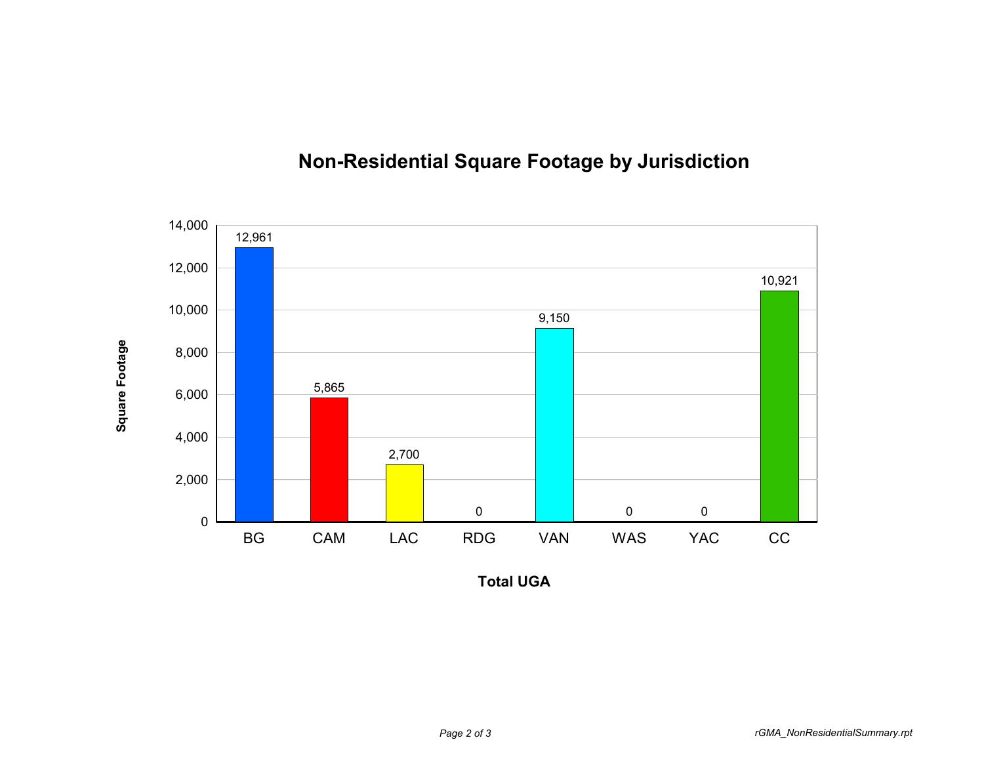

**Square Footage**

## **Non-Residential Square Footage by Jurisdiction**

**Total UGA**